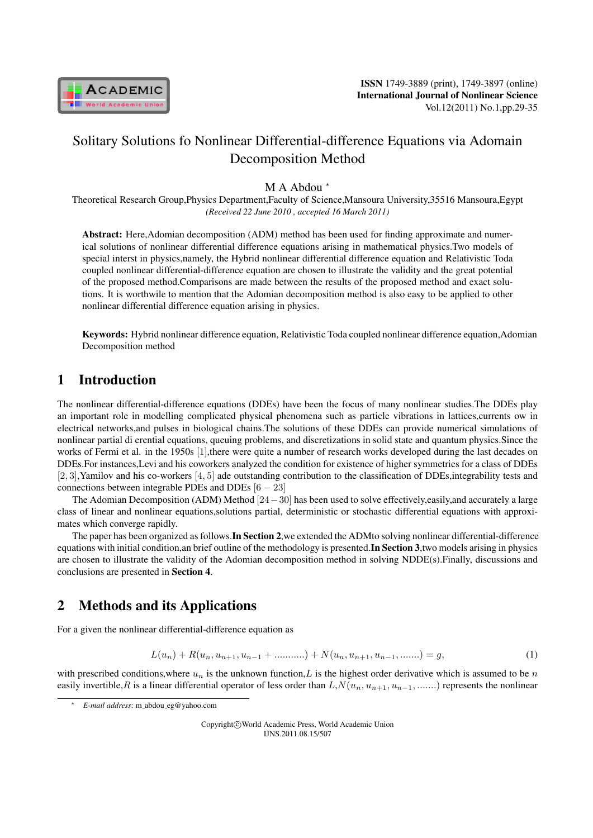

# Solitary Solutions fo Nonlinear Differential-difference Equations via Adomain Decomposition Method

### M A Abdou *<sup>∗</sup>*

Theoretical Research Group,Physics Department,Faculty of Science,Mansoura University,35516 Mansoura,Egypt *(Received 22 June 2010 , accepted 16 March 2011)*

Abstract: Here,Adomian decomposition (ADM) method has been used for finding approximate and numerical solutions of nonlinear differential difference equations arising in mathematical physics.Two models of special interst in physics,namely, the Hybrid nonlinear differential difference equation and Relativistic Toda coupled nonlinear differential-difference equation are chosen to illustrate the validity and the great potential of the proposed method.Comparisons are made between the results of the proposed method and exact solutions. It is worthwile to mention that the Adomian decomposition method is also easy to be applied to other nonlinear differential difference equation arising in physics.

Keywords: Hybrid nonlinear difference equation, Relativistic Toda coupled nonlinear difference equation,Adomian Decomposition method

## 1 Introduction

The nonlinear differential-difference equations (DDEs) have been the focus of many nonlinear studies.The DDEs play an important role in modelling complicated physical phenomena such as particle vibrations in lattices,currents ow in electrical networks,and pulses in biological chains.The solutions of these DDEs can provide numerical simulations of nonlinear partial di erential equations, queuing problems, and discretizations in solid state and quantum physics.Since the works of Fermi et al. in the 1950s [1], there were quite a number of research works developed during the last decades on DDEs.For instances,Levi and his coworkers analyzed the condition for existence of higher symmetries for a class of DDEs [2*,* 3],Yamilov and his co-workers [4*,* 5] ade outstanding contribution to the classification of DDEs,integrability tests and connections between integrable PDEs and DDEs [6 *−* 23]

The Adomian Decomposition (ADM) Method [24*−*30] has been used to solve effectively,easily,and accurately a large class of linear and nonlinear equations,solutions partial, deterministic or stochastic differential equations with approximates which converge rapidly.

The paper has been organized as follows.In Section 2,we extended the ADMto solving nonlinear differential-difference equations with initial condition, an brief outline of the methodology is presented. In Section 3, two models arising in physics are chosen to illustrate the validity of the Adomian decomposition method in solving NDDE(s).Finally, discussions and conclusions are presented in Section 4.

# 2 Methods and its Applications

For a given the nonlinear differential-difference equation as

$$
L(u_n) + R(u_n, u_{n+1}, u_{n-1} + \dots + u_n) + N(u_n, u_{n+1}, u_{n-1}, \dots, u_n) = g,
$$
\n(1)

with prescribed conditions, where  $u_n$  is the unknown function, L is the highest order derivative which is assumed to be n easily invertible, R is a linear differential operator of less order than  $L, N(u_n, u_{n+1}, u_{n-1}, \ldots)$  represents the nonlinear

*<sup>∗</sup> E-mail address*: m abdou eg@yahoo.com

Copyright*⃝*c World Academic Press, World Academic Union IJNS.2011.08.15/507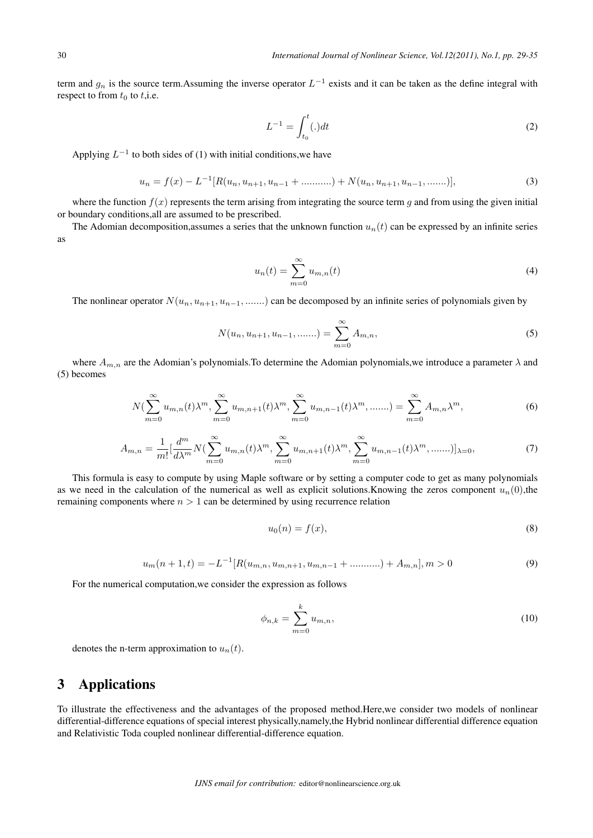term and  $g_n$  is the source term.Assuming the inverse operator  $L^{-1}$  exists and it can be taken as the define integral with respect to from  $t_0$  to  $t$ , i.e.

$$
L^{-1} = \int_{t_0}^t(.)dt
$$
 (2)

Applying  $L^{-1}$  to both sides of (1) with initial conditions, we have

$$
u_n = f(x) - L^{-1}[R(u_n, u_{n+1}, u_{n-1} + \dots, u_n) + N(u_n, u_{n+1}, u_{n-1}, \dots, u_n)],
$$
\n(3)

where the function  $f(x)$  represents the term arising from integrating the source term q and from using the given initial or boundary conditions,all are assumed to be prescribed.

The Adomian decomposition, assumes a series that the unknown function  $u_n(t)$  can be expressed by an infinite series as

$$
u_n(t) = \sum_{m=0}^{\infty} u_{m,n}(t)
$$
\n(4)

The nonlinear operator  $N(u_n, u_{n+1}, u_{n-1}, \dots)$  can be decomposed by an infinite series of polynomials given by

$$
N(u_n, u_{n+1}, u_{n-1}, \dots) = \sum_{m=0}^{\infty} A_{m,n},
$$
\n(5)

where  $A_{m,n}$  are the Adomian's polynomials. To determine the Adomian polynomials, we introduce a parameter  $\lambda$  and (5) becomes

$$
N(\sum_{m=0}^{\infty} u_{m,n}(t)\lambda^m, \sum_{m=0}^{\infty} u_{m,n+1}(t)\lambda^m, \sum_{m=0}^{\infty} u_{m,n-1}(t)\lambda^m, \dots) = \sum_{m=0}^{\infty} A_{m,n}\lambda^m,
$$
(6)

$$
A_{m,n} = \frac{1}{m!} \left[ \frac{d^m}{d\lambda^m} N(\sum_{m=0}^{\infty} u_{m,n}(t) \lambda^m, \sum_{m=0}^{\infty} u_{m,n+1}(t) \lambda^m, \sum_{m=0}^{\infty} u_{m,n-1}(t) \lambda^m, \dots) \right]_{\lambda=0},
$$
(7)

This formula is easy to compute by using Maple software or by setting a computer code to get as many polynomials as we need in the calculation of the numerical as well as explicit solutions. Knowing the zeros component  $u_n(0)$ ,the remaining components where  $n > 1$  can be determined by using recurrence relation

$$
u_0(n) = f(x),\tag{8}
$$

$$
u_m(n+1,t) = -L^{-1}[R(u_{m,n}, u_{m,n+1}, u_{m,n-1} + \dots, u_n], m > 0 \tag{9}
$$

For the numerical computation,we consider the expression as follows

$$
\phi_{n,k} = \sum_{m=0}^{k} u_{m,n},
$$
\n(10)

denotes the n-term approximation to  $u_n(t)$ .

### 3 Applications

To illustrate the effectiveness and the advantages of the proposed method.Here,we consider two models of nonlinear differential-difference equations of special interest physically,namely,the Hybrid nonlinear differential difference equation and Relativistic Toda coupled nonlinear differential-difference equation.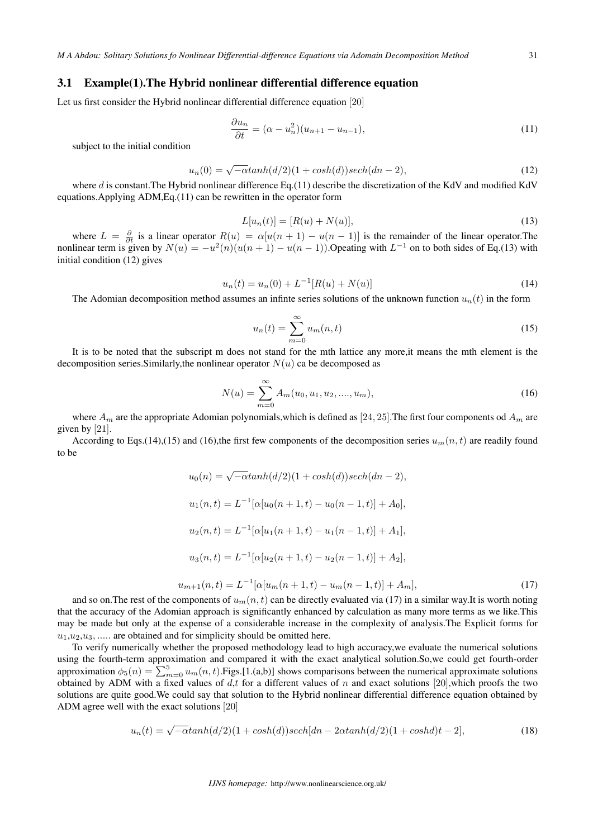#### 3.1 Example(1).The Hybrid nonlinear differential difference equation

Let us first consider the Hybrid nonlinear differential difference equation [20]

$$
\frac{\partial u_n}{\partial t} = (\alpha - u_n^2)(u_{n+1} - u_{n-1}),\tag{11}
$$

subject to the initial condition

$$
u_n(0) = \sqrt{-\alpha} \tanh(d/2)(1 + \cosh(d)) \sech(dn - 2),\tag{12}
$$

where  $d$  is constant. The Hybrid nonlinear difference Eq.(11) describe the discretization of the KdV and modified KdV equations.Applying ADM,Eq.(11) can be rewritten in the operator form

$$
L[u_n(t)] = [R(u) + N(u)],
$$
\n(13)

where  $L = \frac{\partial}{\partial t}$  is a linear operator  $R(u) = \alpha[u(n+1) - u(n-1)]$  is the remainder of the linear operator. The nonlinear term is given by  $N(u) = -u^2(n)(u(n+1) - u(n-1))$ . Opeating with  $L^{-1}$  on to both sides of Eq.(13) with initial condition (12) gives

$$
u_n(t) = u_n(0) + L^{-1}[R(u) + N(u)]
$$
\n(14)

The Adomian decomposition method assumes an infinite series solutions of the unknown function  $u_n(t)$  in the form

$$
u_n(t) = \sum_{m=0}^{\infty} u_m(n, t)
$$
\n(15)

It is to be noted that the subscript m does not stand for the mth lattice any more,it means the mth element is the decomposition series. Similarly, the nonlinear operator  $N(u)$  ca be decomposed as

$$
N(u) = \sum_{m=0}^{\infty} A_m(u_0, u_1, u_2, \dots, u_m),
$$
\n(16)

where  $A_m$  are the appropriate Adomian polynomials, which is defined as [24, 25]. The first four components od  $A_m$  are given by [21].

According to Eqs.(14),(15) and (16),the first few components of the decomposition series  $u_m(n, t)$  are readily found to be

$$
u_0(n) = \sqrt{-\alpha} \tanh(d/2)(1 + \cosh(d))sech(dn - 2),
$$
  
\n
$$
u_1(n, t) = L^{-1} [\alpha[u_0(n + 1, t) - u_0(n - 1, t)] + A_0],
$$
  
\n
$$
u_2(n, t) = L^{-1} [\alpha[u_1(n + 1, t) - u_1(n - 1, t)] + A_1],
$$
  
\n
$$
u_3(n, t) = L^{-1} [\alpha[u_2(n + 1, t) - u_2(n - 1, t)] + A_2],
$$
  
\n
$$
u_{m+1}(n, t) = L^{-1} [\alpha[u_m(n + 1, t) - u_m(n - 1, t)] + A_m],
$$
\n(17)

and so on. The rest of the components of  $u_m(n, t)$  can be directly evaluated via (17) in a similar way.It is worth noting that the accuracy of the Adomian approach is significantly enhanced by calculation as many more terms as we like.This may be made but only at the expense of a considerable increase in the complexity of analysis.The Explicit forms for  $u_1, u_2, u_3, \ldots$  are obtained and for simplicity should be omitted here.

To verify numerically whether the proposed methodology lead to high accuracy,we evaluate the numerical solutions using the fourth-term approximation and compared it with the exact analytical solution.So,we could get fourth-order approximation  $\phi_5(n) = \sum_{m=0}^5 u_m(n, t)$ . Figs. [1.(a,b)] shows comparisons between the numerical approximate solutions obtained by ADM with a fixed values of  $d,t$  for a different values of n and exact solutions [20], which proofs the two solutions are quite good.We could say that solution to the Hybrid nonlinear differential difference equation obtained by ADM agree well with the exact solutions [20]

$$
u_n(t) = \sqrt{-\alpha} \tanh(d/2)(1 + \cosh(d)) \sech[dn - 2\alpha \tanh(d/2)(1 + \cosh(d)t - 2],\tag{18}
$$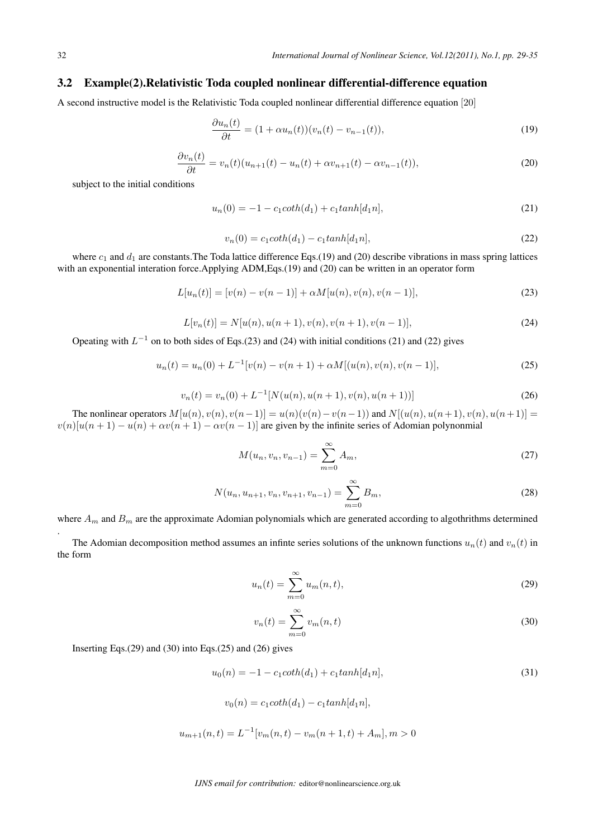### 3.2 Example(2).Relativistic Toda coupled nonlinear differential-difference equation

A second instructive model is the Relativistic Toda coupled nonlinear differential difference equation [20]

$$
\frac{\partial u_n(t)}{\partial t} = (1 + \alpha u_n(t))(v_n(t) - v_{n-1}(t)),\tag{19}
$$

$$
\frac{\partial v_n(t)}{\partial t} = v_n(t)(u_{n+1}(t) - u_n(t) + \alpha v_{n+1}(t) - \alpha v_{n-1}(t)),
$$
\n(20)

subject to the initial conditions

$$
u_n(0) = -1 - c_1 \coth(d_1) + c_1 \tanh[d_1 n], \tag{21}
$$

$$
v_n(0) = c_1 \coth(d_1) - c_1 \tanh[d_1 n], \tag{22}
$$

where  $c_1$  and  $d_1$  are constants. The Toda lattice difference Eqs.(19) and (20) describe vibrations in mass spring lattices with an exponential interation force.Applying ADM,Eqs.(19) and (20) can be written in an operator form

$$
L[u_n(t)] = [v(n) - v(n-1)] + \alpha M[u(n), v(n), v(n-1)],
$$
\n(23)

$$
L[v_n(t)] = N[u(n), u(n+1), v(n), v(n+1), v(n-1)],
$$
\n(24)

Opeating with  $L^{-1}$  on to both sides of Eqs.(23) and (24) with initial conditions (21) and (22) gives

$$
u_n(t) = u_n(0) + L^{-1}[v(n) - v(n+1) + \alpha M[(u(n), v(n), v(n-1)], \qquad (25)
$$

$$
v_n(t) = v_n(0) + L^{-1}[N(u(n), u(n+1), v(n), u(n+1))]
$$
\n(26)

The nonlinear operators  $M[u(n), v(n), v(n-1)] = u(n)(v(n) - v(n-1))$  and  $N[(u(n), u(n+1), v(n), u(n+1)] =$  $v(n)[u(n+1) - u(n) + \alpha v(n+1) - \alpha v(n-1)]$  are given by the infinite series of Adomian polynonmial

$$
M(u_n, v_n, v_{n-1}) = \sum_{m=0}^{\infty} A_m,
$$
\n(27)

$$
N(u_n, u_{n+1}, v_n, v_{n+1}, v_{n-1}) = \sum_{m=0}^{\infty} B_m,
$$
\n(28)

where  $A_m$  and  $B_m$  are the approximate Adomian polynomials which are generated according to algothrithms determined

The Adomian decomposition method assumes an infinte series solutions of the unknown functions  $u_n(t)$  and  $v_n(t)$  in the form

$$
u_n(t) = \sum_{m=0}^{\infty} u_m(n, t),
$$
\n(29)

$$
v_n(t) = \sum_{m=0}^{\infty} v_m(n, t)
$$
\n(30)

Inserting Eqs. $(29)$  and  $(30)$  into Eqs. $(25)$  and  $(26)$  gives

$$
u_0(n) = -1 - c_1 \coth(d_1) + c_1 \tanh[d_1 n],\tag{31}
$$

$$
v_0(n) = c_1 \coth(d_1) - c_1 \tanh[d_1 n],
$$

$$
u_{m+1}(n,t) = L^{-1}[v_m(n,t) - v_m(n+1,t) + A_m], m > 0
$$

.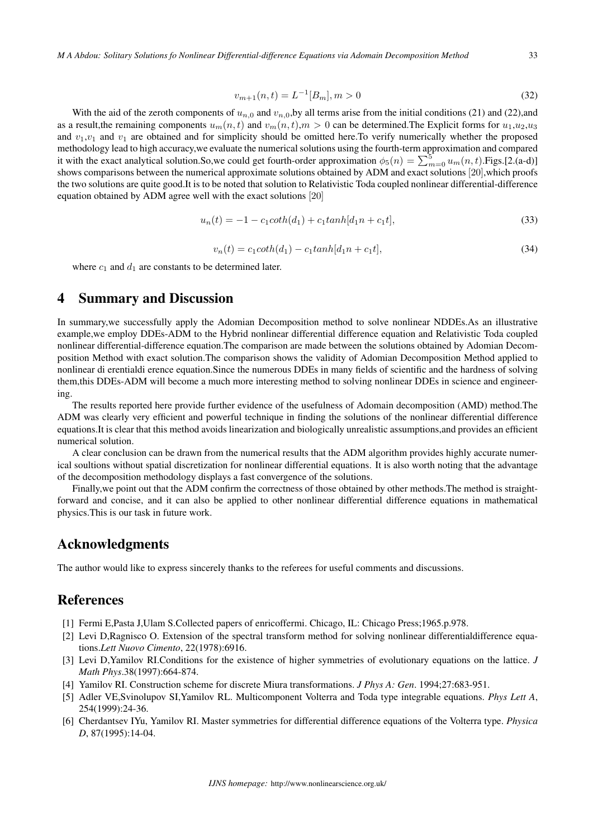$$
v_{m+1}(n,t) = L^{-1}[B_m], m > 0
$$
\n(32)

With the aid of the zeroth components of  $u_{n,0}$  and  $v_{n,0}$ , by all terms arise from the initial conditions (21) and (22), and as a result, the remaining components  $u_m(n, t)$  and  $v_m(n, t)$ ,  $m > 0$  can be determined. The Explicit forms for  $u_1, u_2, u_3$ and  $v_1, v_1$  and  $v_1$  are obtained and for simplicity should be omitted here. To verify numerically whether the proposed methodology lead to high accuracy,we evaluate the numerical solutions using the fourth-term approximation and compared it with the exact analytical solution.So,we could get fourth-order approximation  $\phi_5(n) = \sum_{m=0}^{5} u_m(n, t)$ .Figs.[2.(a-d)] shows comparisons between the numerical approximate solutions obtained by ADM and exact solutions [20], which proofs the two solutions are quite good.It is to be noted that solution to Relativistic Toda coupled nonlinear differential-difference equation obtained by ADM agree well with the exact solutions [20]

$$
u_n(t) = -1 - c_1 \coth(d_1) + c_1 \tanh[d_1 n + c_1 t],
$$
\n(33)

$$
v_n(t) = c_1 \coth(d_1) - c_1 \tanh[d_1 n + c_1 t],
$$
\n(34)

where  $c_1$  and  $d_1$  are constants to be determined later.

### 4 Summary and Discussion

In summary,we successfully apply the Adomian Decomposition method to solve nonlinear NDDEs.As an illustrative example,we employ DDEs-ADM to the Hybrid nonlinear differential difference equation and Relativistic Toda coupled nonlinear differential-difference equation.The comparison are made between the solutions obtained by Adomian Decomposition Method with exact solution.The comparison shows the validity of Adomian Decomposition Method applied to nonlinear di erentialdi erence equation.Since the numerous DDEs in many fields of scientific and the hardness of solving them,this DDEs-ADM will become a much more interesting method to solving nonlinear DDEs in science and engineering.

The results reported here provide further evidence of the usefulness of Adomain decomposition (AMD) method.The ADM was clearly very efficient and powerful technique in finding the solutions of the nonlinear differential difference equations.It is clear that this method avoids linearization and biologically unrealistic assumptions,and provides an efficient numerical solution.

A clear conclusion can be drawn from the numerical results that the ADM algorithm provides highly accurate numerical soultions without spatial discretization for nonlinear differential equations. It is also worth noting that the advantage of the decomposition methodology displays a fast convergence of the solutions.

Finally, we point out that the ADM confirm the correctness of those obtained by other methods. The method is straightforward and concise, and it can also be applied to other nonlinear differential difference equations in mathematical physics.This is our task in future work.

### Acknowledgments

The author would like to express sincerely thanks to the referees for useful comments and discussions.

### References

- [1] Fermi E,Pasta J,Ulam S.Collected papers of enricoffermi. Chicago, IL: Chicago Press;1965.p.978.
- [2] Levi D,Ragnisco O. Extension of the spectral transform method for solving nonlinear differentialdifference equations.*Lett Nuovo Cimento*, 22(1978):6916.
- [3] Levi D,Yamilov RI.Conditions for the existence of higher symmetries of evolutionary equations on the lattice. *J Math Phys*.38(1997):664-874.
- [4] Yamilov RI. Construction scheme for discrete Miura transformations. *J Phys A: Gen*. 1994;27:683-951.
- [5] Adler VE,Svinolupov SI,Yamilov RL. Multicomponent Volterra and Toda type integrable equations. *Phys Lett A*, 254(1999):24-36.
- [6] Cherdantsev IYu, Yamilov RI. Master symmetries for differential difference equations of the Volterra type. *Physica D*, 87(1995):14-04.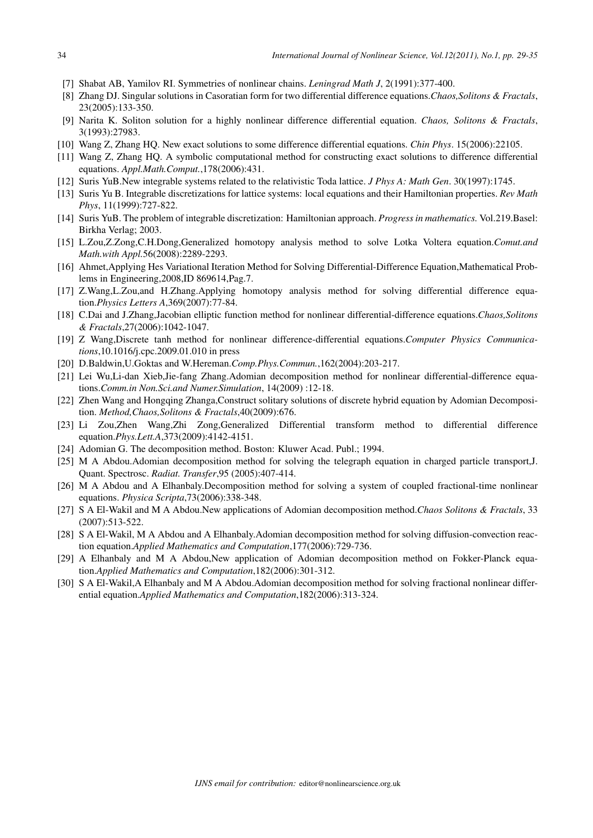- [7] Shabat AB, Yamilov RI. Symmetries of nonlinear chains. *Leningrad Math J*, 2(1991):377-400.
- [8] Zhang DJ. Singular solutions in Casoratian form for two differential difference equations.*Chaos,Solitons & Fractals*, 23(2005):133-350.
- [9] Narita K. Soliton solution for a highly nonlinear difference differential equation. *Chaos, Solitons & Fractals*, 3(1993):27983.
- [10] Wang Z, Zhang HQ. New exact solutions to some difference differential equations. *Chin Phys*. 15(2006):22105.
- [11] Wang Z, Zhang HQ. A symbolic computational method for constructing exact solutions to difference differential equations. *Appl.Math.Comput.*,178(2006):431.
- [12] Suris YuB.New integrable systems related to the relativistic Toda lattice. *J Phys A: Math Gen*. 30(1997):1745.
- [13] Suris Yu B. Integrable discretizations for lattice systems: local equations and their Hamiltonian properties. *Rev Math Phys*, 11(1999):727-822.
- [14] Suris YuB. The problem of integrable discretization: Hamiltonian approach. *Progress in mathematics.* Vol.219.Basel: Birkha Verlag; 2003.
- [15] L.Zou,Z.Zong,C.H.Dong,Generalized homotopy analysis method to solve Lotka Voltera equation.*Comut.and Math.with Appl.*56(2008):2289-2293.
- [16] Ahmet,Applying Hes Variational Iteration Method for Solving Differential-Difference Equation,Mathematical Problems in Engineering,2008,ID 869614,Pag.7.
- [17] Z.Wang,L.Zou,and H.Zhang.Applying homotopy analysis method for solving differential difference equation.*Physics Letters A*,369(2007):77-84.
- [18] C.Dai and J.Zhang,Jacobian elliptic function method for nonlinear differential-difference equations.*Chaos,Solitons & Fractals*,27(2006):1042-1047.
- [19] Z Wang,Discrete tanh method for nonlinear difference-differential equations.*Computer Physics Communications*,10.1016/j.cpc.2009.01.010 in press
- [20] D.Baldwin,U.Goktas and W.Hereman.*Comp.Phys.Commun.*,162(2004):203-217.
- [21] Lei Wu,Li-dan Xieb,Jie-fang Zhang.Adomian decomposition method for nonlinear differential-difference equations.*Comm.in Non.Sci.and Numer.Simulation*, 14(2009) :12-18.
- [22] Zhen Wang and Hongqing Zhanga,Construct solitary solutions of discrete hybrid equation by Adomian Decomposition. *Method,Chaos,Solitons & Fractals*,40(2009):676.
- [23] Li Zou,Zhen Wang,Zhi Zong,Generalized Differential transform method to differential difference equation.*Phys.Lett.A*,373(2009):4142-4151.
- [24] Adomian G. The decomposition method. Boston: Kluwer Acad. Publ.; 1994.
- [25] M A Abdou.Adomian decomposition method for solving the telegraph equation in charged particle transport,J. Quant. Spectrosc. *Radiat. Transfer*,95 (2005):407-414.
- [26] M A Abdou and A Elhanbaly.Decomposition method for solving a system of coupled fractional-time nonlinear equations. *Physica Scripta*,73(2006):338-348.
- [27] S A El-Wakil and M A Abdou.New applications of Adomian decomposition method.*Chaos Solitons & Fractals*, 33 (2007):513-522.
- [28] S A El-Wakil, M A Abdou and A Elhanbaly.Adomian decomposition method for solving diffusion-convection reaction equation.*Applied Mathematics and Computation*,177(2006):729-736.
- [29] A Elhanbaly and M A Abdou,New application of Adomian decomposition method on Fokker-Planck equation.*Applied Mathematics and Computation*,182(2006):301-312.
- [30] S A El-Wakil,A Elhanbaly and M A Abdou.Adomian decomposition method for solving fractional nonlinear differential equation.*Applied Mathematics and Computation*,182(2006):313-324.